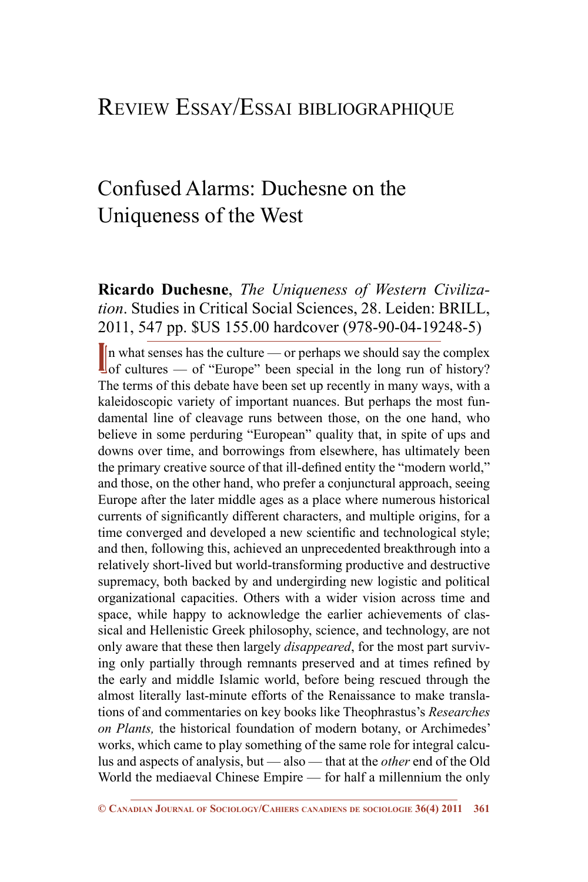## Review Essay/Essai bibliographique

# Confused Alarms: Duchesne on the Uniqueness of the West

**Ricardo Duchesne**, *The Uniqueness of Western Civilization*. Studies in Critical Social Sciences, 28. Leiden: BRILL, 2011, 547 pp. \$US 155.00 hardcover (978-90-04-19248-5)

In what senses has the culture — or perhaps we should say the complex of cultures — of "Europe" been special in the long run of history?  $\ln$  what senses has the culture — or perhaps we should say the complex The terms of this debate have been set up recently in many ways, with a kaleidoscopic variety of important nuances. But perhaps the most fundamental line of cleavage runs between those, on the one hand, who believe in some perduring "European" quality that, in spite of ups and downs over time, and borrowings from elsewhere, has ultimately been the primary creative source of that ill-defined entity the "modern world," and those, on the other hand, who prefer a conjunctural approach, seeing Europe after the later middle ages as a place where numerous historical currents of significantly different characters, and multiple origins, for a time converged and developed a new scientific and technological style; and then, following this, achieved an unprecedented breakthrough into a relatively short-lived but world-transforming productive and destructive supremacy, both backed by and undergirding new logistic and political organizational capacities. Others with a wider vision across time and space, while happy to acknowledge the earlier achievements of classical and Hellenistic Greek philosophy, science, and technology, are not only aware that these then largely *disappeared*, for the most part surviving only partially through remnants preserved and at times refined by the early and middle Islamic world, before being rescued through the almost literally last-minute efforts of the Renaissance to make translations of and commentaries on key books like Theophrastus's *Researches on Plants,* the historical foundation of modern botany, or Archimedes' works, which came to play something of the same role for integral calculus and aspects of analysis, but — also — that at the *other* end of the Old World the mediaeval Chinese Empire — for half a millennium the only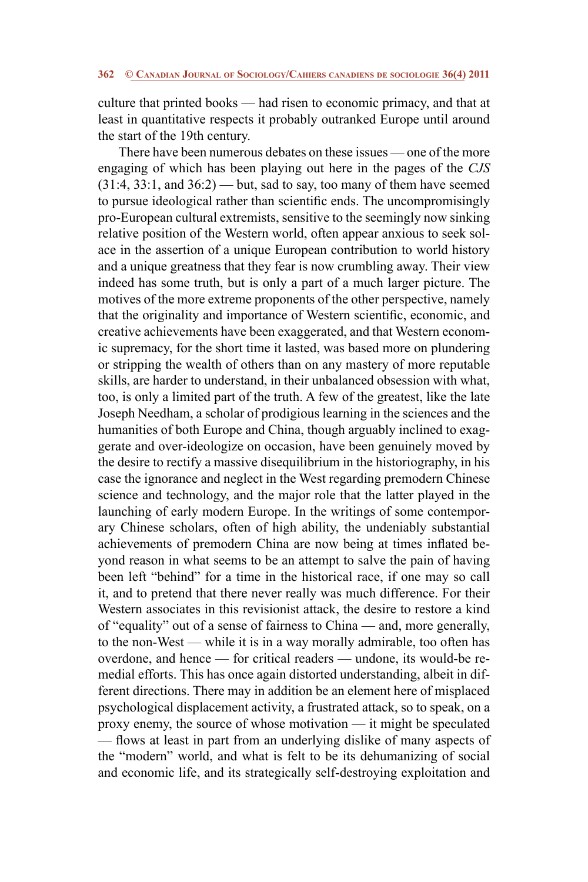culture that printed books — had risen to economic primacy, and that at least in quantitative respects it probably outranked Europe until around the start of the 19th century.

There have been numerous debates on these issues — one of the more engaging of which has been playing out here in the pages of the *CJS*  $(31:4, 33:1,$  and  $36:2)$  — but, sad to say, too many of them have seemed to pursue ideological rather than scientific ends. The uncompromisingly pro-European cultural extremists, sensitive to the seemingly now sinking relative position of the Western world, often appear anxious to seek solace in the assertion of a unique European contribution to world history and a unique greatness that they fear is now crumbling away. Their view indeed has some truth, but is only a part of a much larger picture. The motives of the more extreme proponents of the other perspective, namely that the originality and importance of Western scientific, economic, and creative achievements have been exaggerated, and that Western economic supremacy, for the short time it lasted, was based more on plundering or stripping the wealth of others than on any mastery of more reputable skills, are harder to understand, in their unbalanced obsession with what, too, is only a limited part of the truth. A few of the greatest, like the late Joseph Needham, a scholar of prodigious learning in the sciences and the humanities of both Europe and China, though arguably inclined to exaggerate and over-ideologize on occasion, have been genuinely moved by the desire to rectify a massive disequilibrium in the historiography, in his case the ignorance and neglect in the West regarding premodern Chinese science and technology, and the major role that the latter played in the launching of early modern Europe. In the writings of some contemporary Chinese scholars, often of high ability, the undeniably substantial achievements of premodern China are now being at times inflated beyond reason in what seems to be an attempt to salve the pain of having been left "behind" for a time in the historical race, if one may so call it, and to pretend that there never really was much difference. For their Western associates in this revisionist attack, the desire to restore a kind of "equality" out of a sense of fairness to China — and, more generally, to the non-West — while it is in a way morally admirable, too often has overdone, and hence — for critical readers — undone, its would-be remedial efforts. This has once again distorted understanding, albeit in different directions. There may in addition be an element here of misplaced psychological displacement activity, a frustrated attack, so to speak, on a proxy enemy, the source of whose motivation — it might be speculated — flows at least in part from an underlying dislike of many aspects of the "modern" world, and what is felt to be its dehumanizing of social and economic life, and its strategically self-destroying exploitation and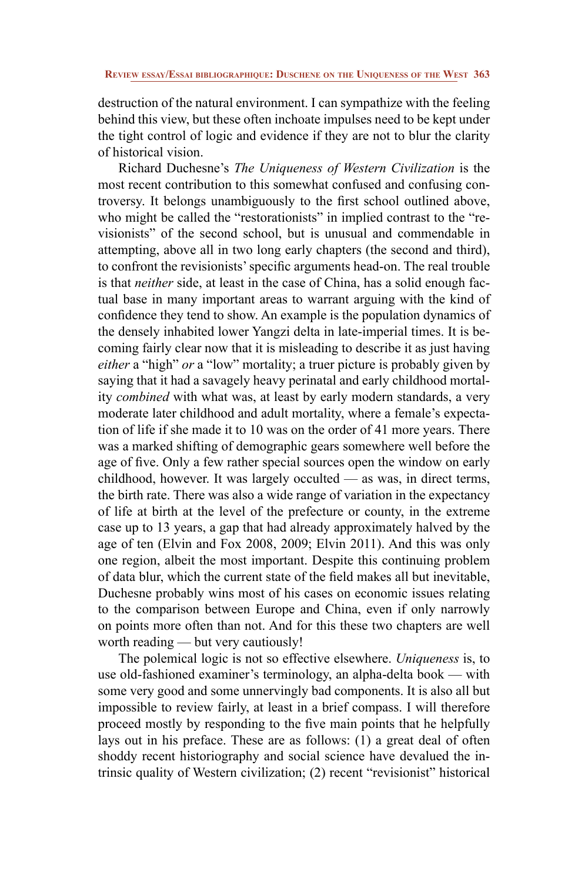destruction of the natural environment. I can sympathize with the feeling behind this view, but these often inchoate impulses need to be kept under the tight control of logic and evidence if they are not to blur the clarity of historical vision.

Richard Duchesne's *The Uniqueness of Western Civilization* is the most recent contribution to this somewhat confused and confusing controversy. It belongs unambiguously to the first school outlined above, who might be called the "restorationists" in implied contrast to the "revisionists" of the second school, but is unusual and commendable in attempting, above all in two long early chapters (the second and third), to confront the revisionists' specific arguments head-on. The real trouble is that *neither* side, at least in the case of China, has a solid enough factual base in many important areas to warrant arguing with the kind of confidence they tend to show. An example is the population dynamics of the densely inhabited lower Yangzi delta in late-imperial times. It is becoming fairly clear now that it is misleading to describe it as just having *either* a "high" *or* a "low" mortality; a truer picture is probably given by saying that it had a savagely heavy perinatal and early childhood mortality *combined* with what was, at least by early modern standards, a very moderate later childhood and adult mortality, where a female's expectation of life if she made it to 10 was on the order of 41 more years. There was a marked shifting of demographic gears somewhere well before the age of five. Only a few rather special sources open the window on early childhood, however. It was largely occulted — as was, in direct terms, the birth rate. There was also a wide range of variation in the expectancy of life at birth at the level of the prefecture or county, in the extreme case up to 13 years, a gap that had already approximately halved by the age of ten (Elvin and Fox 2008, 2009; Elvin 2011). And this was only one region, albeit the most important. Despite this continuing problem of data blur, which the current state of the field makes all but inevitable, Duchesne probably wins most of his cases on economic issues relating to the comparison between Europe and China, even if only narrowly on points more often than not. And for this these two chapters are well worth reading — but very cautiously!

The polemical logic is not so effective elsewhere. *Uniqueness* is, to use old-fashioned examiner's terminology, an alpha-delta book — with some very good and some unnervingly bad components. It is also all but impossible to review fairly, at least in a brief compass. I will therefore proceed mostly by responding to the five main points that he helpfully lays out in his preface. These are as follows: (1) a great deal of often shoddy recent historiography and social science have devalued the intrinsic quality of Western civilization; (2) recent "revisionist" historical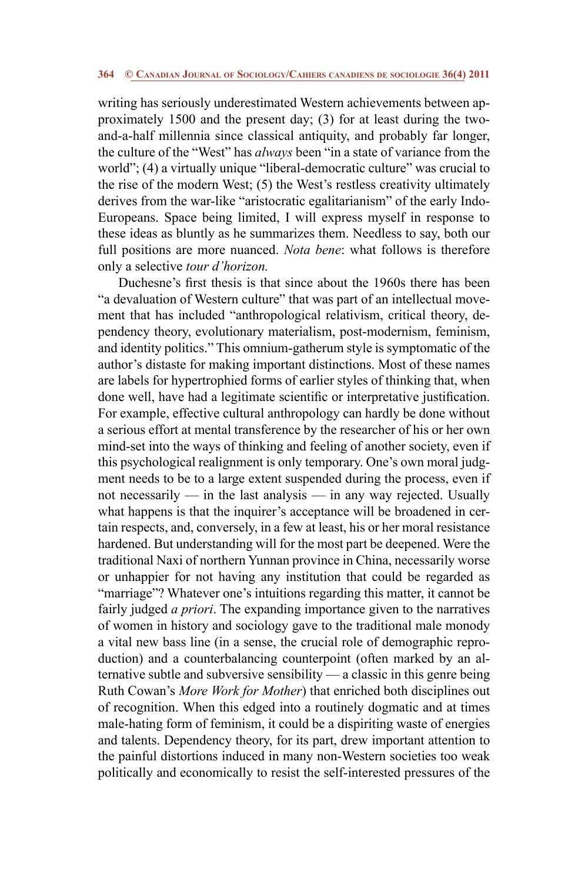writing has seriously underestimated Western achievements between approximately 1500 and the present day; (3) for at least during the twoand-a-half millennia since classical antiquity, and probably far longer, the culture of the "West" has *always* been "in a state of variance from the world"; (4) a virtually unique "liberal-democratic culture" was crucial to the rise of the modern West; (5) the West's restless creativity ultimately derives from the war-like "aristocratic egalitarianism" of the early Indo-Europeans. Space being limited, I will express myself in response to these ideas as bluntly as he summarizes them. Needless to say, both our full positions are more nuanced. *Nota bene*: what follows is therefore only a selective *tour d'horizon.* 

Duchesne's first thesis is that since about the 1960s there has been "a devaluation of Western culture" that was part of an intellectual movement that has included "anthropological relativism, critical theory, dependency theory, evolutionary materialism, post-modernism, feminism, and identity politics." This omnium-gatherum style is symptomatic of the author's distaste for making important distinctions. Most of these names are labels for hypertrophied forms of earlier styles of thinking that, when done well, have had a legitimate scientific or interpretative justification. For example, effective cultural anthropology can hardly be done without a serious effort at mental transference by the researcher of his or her own mind-set into the ways of thinking and feeling of another society, even if this psychological realignment is only temporary. One's own moral judgment needs to be to a large extent suspended during the process, even if not necessarily — in the last analysis — in any way rejected. Usually what happens is that the inquirer's acceptance will be broadened in certain respects, and, conversely, in a few at least, his or her moral resistance hardened. But understanding will for the most part be deepened. Were the traditional Naxi of northern Yunnan province in China, necessarily worse or unhappier for not having any institution that could be regarded as "marriage"? Whatever one's intuitions regarding this matter, it cannot be fairly judged *a priori*. The expanding importance given to the narratives of women in history and sociology gave to the traditional male monody a vital new bass line (in a sense, the crucial role of demographic reproduction) and a counterbalancing counterpoint (often marked by an alternative subtle and subversive sensibility — a classic in this genre being Ruth Cowan's *More Work for Mother*) that enriched both disciplines out of recognition. When this edged into a routinely dogmatic and at times male-hating form of feminism, it could be a dispiriting waste of energies and talents. Dependency theory, for its part, drew important attention to the painful distortions induced in many non-Western societies too weak politically and economically to resist the self-interested pressures of the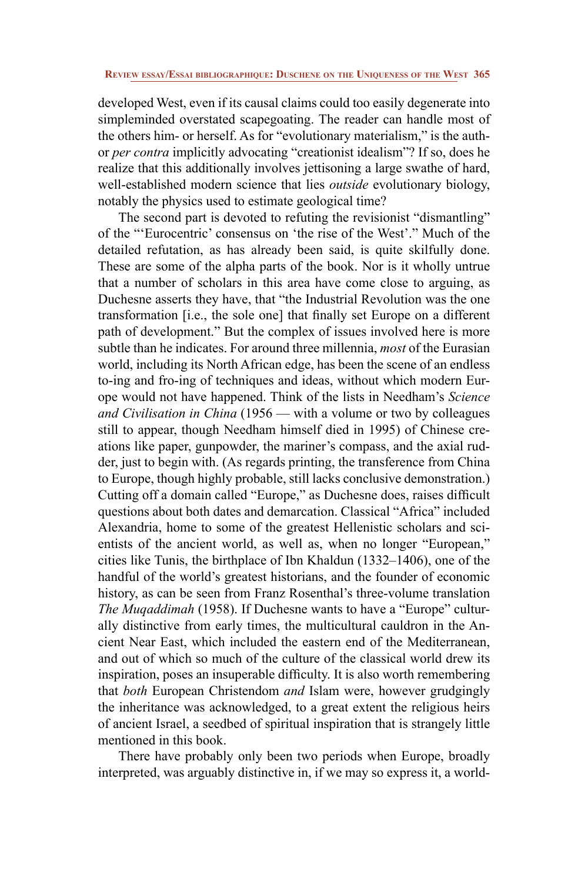developed West, even if its causal claims could too easily degenerate into simpleminded overstated scapegoating. The reader can handle most of the others him- or herself. As for "evolutionary materialism," is the author *per contra* implicitly advocating "creationist idealism"? If so, does he realize that this additionally involves jettisoning a large swathe of hard, well-established modern science that lies *outside* evolutionary biology, notably the physics used to estimate geological time?

The second part is devoted to refuting the revisionist "dismantling" of the "'Eurocentric' consensus on 'the rise of the West'." Much of the detailed refutation, as has already been said, is quite skilfully done. These are some of the alpha parts of the book. Nor is it wholly untrue that a number of scholars in this area have come close to arguing, as Duchesne asserts they have, that "the Industrial Revolution was the one transformation [i.e., the sole one] that finally set Europe on a different path of development." But the complex of issues involved here is more subtle than he indicates. For around three millennia, *most* of the Eurasian world, including its North African edge, has been the scene of an endless to-ing and fro-ing of techniques and ideas, without which modern Europe would not have happened. Think of the lists in Needham's *Science and Civilisation in China* (1956 — with a volume or two by colleagues still to appear, though Needham himself died in 1995) of Chinese creations like paper, gunpowder, the mariner's compass, and the axial rudder, just to begin with. (As regards printing, the transference from China to Europe, though highly probable, still lacks conclusive demonstration.) Cutting off a domain called "Europe," as Duchesne does, raises difficult questions about both dates and demarcation. Classical "Africa" included Alexandria, home to some of the greatest Hellenistic scholars and scientists of the ancient world, as well as, when no longer "European," cities like Tunis, the birthplace of Ibn Khaldun (1332–1406), one of the handful of the world's greatest historians, and the founder of economic history, as can be seen from Franz Rosenthal's three-volume translation *The Muqaddimah* (1958). If Duchesne wants to have a "Europe" culturally distinctive from early times, the multicultural cauldron in the Ancient Near East, which included the eastern end of the Mediterranean, and out of which so much of the culture of the classical world drew its inspiration, poses an insuperable difficulty. It is also worth remembering that *both* European Christendom *and* Islam were, however grudgingly the inheritance was acknowledged, to a great extent the religious heirs of ancient Israel, a seedbed of spiritual inspiration that is strangely little mentioned in this book.

There have probably only been two periods when Europe, broadly interpreted, was arguably distinctive in, if we may so express it, a world-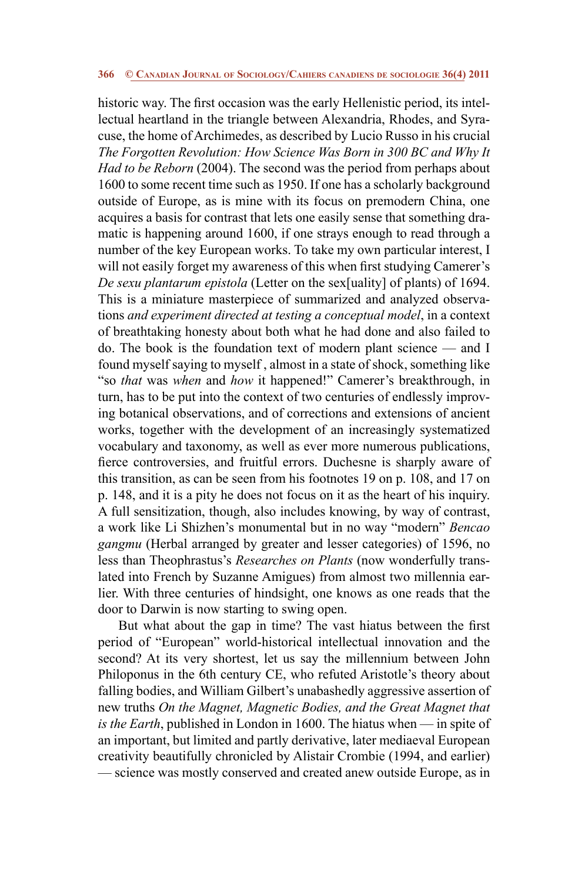historic way. The first occasion was the early Hellenistic period, its intellectual heartland in the triangle between Alexandria, Rhodes, and Syracuse, the home of Archimedes, as described by Lucio Russo in his crucial *The Forgotten Revolution: How Science Was Born in 300 BC and Why It Had to be Reborn* (2004). The second was the period from perhaps about 1600 to some recent time such as 1950. If one has a scholarly background outside of Europe, as is mine with its focus on premodern China, one acquires a basis for contrast that lets one easily sense that something dramatic is happening around 1600, if one strays enough to read through a number of the key European works. To take my own particular interest, I will not easily forget my awareness of this when first studying Camerer's *De sexu plantarum epistola* (Letter on the sex[uality] of plants) of 1694. This is a miniature masterpiece of summarized and analyzed observations *and experiment directed at testing a conceptual model*, in a context of breathtaking honesty about both what he had done and also failed to do. The book is the foundation text of modern plant science — and I found myself saying to myself , almost in a state of shock, something like "so *that* was *when* and *how* it happened!" Camerer's breakthrough, in turn, has to be put into the context of two centuries of endlessly improving botanical observations, and of corrections and extensions of ancient works, together with the development of an increasingly systematized vocabulary and taxonomy, as well as ever more numerous publications, fierce controversies, and fruitful errors. Duchesne is sharply aware of this transition, as can be seen from his footnotes 19 on p. 108, and 17 on p. 148, and it is a pity he does not focus on it as the heart of his inquiry. A full sensitization, though, also includes knowing, by way of contrast, a work like Li Shizhen's monumental but in no way "modern" *Bencao gangmu* (Herbal arranged by greater and lesser categories) of 1596, no less than Theophrastus's *Researches on Plants* (now wonderfully translated into French by Suzanne Amigues) from almost two millennia earlier. With three centuries of hindsight, one knows as one reads that the door to Darwin is now starting to swing open.

But what about the gap in time? The vast hiatus between the first period of "European" world-historical intellectual innovation and the second? At its very shortest, let us say the millennium between John Philoponus in the 6th century CE, who refuted Aristotle's theory about falling bodies, and William Gilbert's unabashedly aggressive assertion of new truths *On the Magnet, Magnetic Bodies, and the Great Magnet that is the Earth*, published in London in 1600. The hiatus when — in spite of an important, but limited and partly derivative, later mediaeval European creativity beautifully chronicled by Alistair Crombie (1994, and earlier) — science was mostly conserved and created anew outside Europe, as in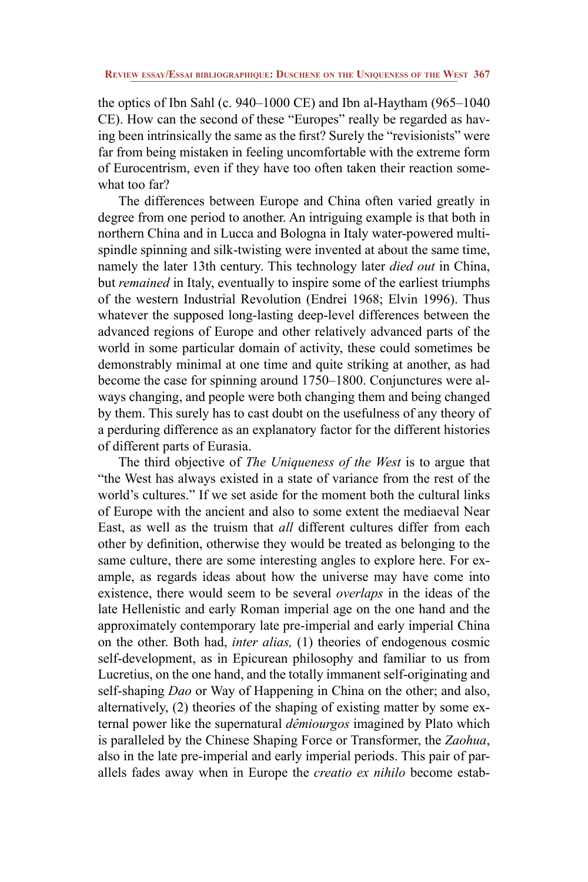the optics of Ibn Sahl (c. 940–1000 CE) and Ibn al-Haytham (965–1040 CE). How can the second of these "Europes" really be regarded as having been intrinsically the same as the first? Surely the "revisionists" were far from being mistaken in feeling uncomfortable with the extreme form of Eurocentrism, even if they have too often taken their reaction somewhat too far?

The differences between Europe and China often varied greatly in degree from one period to another. An intriguing example is that both in northern China and in Lucca and Bologna in Italy water-powered multispindle spinning and silk-twisting were invented at about the same time, namely the later 13th century. This technology later *died out* in China, but *remained* in Italy, eventually to inspire some of the earliest triumphs of the western Industrial Revolution (Endrei 1968; Elvin 1996). Thus whatever the supposed long-lasting deep-level differences between the advanced regions of Europe and other relatively advanced parts of the world in some particular domain of activity, these could sometimes be demonstrably minimal at one time and quite striking at another, as had become the case for spinning around 1750–1800. Conjunctures were always changing, and people were both changing them and being changed by them. This surely has to cast doubt on the usefulness of any theory of a perduring difference as an explanatory factor for the different histories of different parts of Eurasia.

The third objective of *The Uniqueness of the West* is to argue that "the West has always existed in a state of variance from the rest of the world's cultures." If we set aside for the moment both the cultural links of Europe with the ancient and also to some extent the mediaeval Near East, as well as the truism that *all* different cultures differ from each other by definition, otherwise they would be treated as belonging to the same culture, there are some interesting angles to explore here. For example, as regards ideas about how the universe may have come into existence, there would seem to be several *overlaps* in the ideas of the late Hellenistic and early Roman imperial age on the one hand and the approximately contemporary late pre-imperial and early imperial China on the other. Both had, *inter alias,* (1) theories of endogenous cosmic self-development, as in Epicurean philosophy and familiar to us from Lucretius, on the one hand, and the totally immanent self-originating and self-shaping *Dao* or Way of Happening in China on the other; and also, alternatively, (2) theories of the shaping of existing matter by some external power like the supernatural *dêmiourgos* imagined by Plato which is paralleled by the Chinese Shaping Force or Transformer, the *Zaohua*, also in the late pre-imperial and early imperial periods. This pair of parallels fades away when in Europe the *creatio ex nihilo* become estab-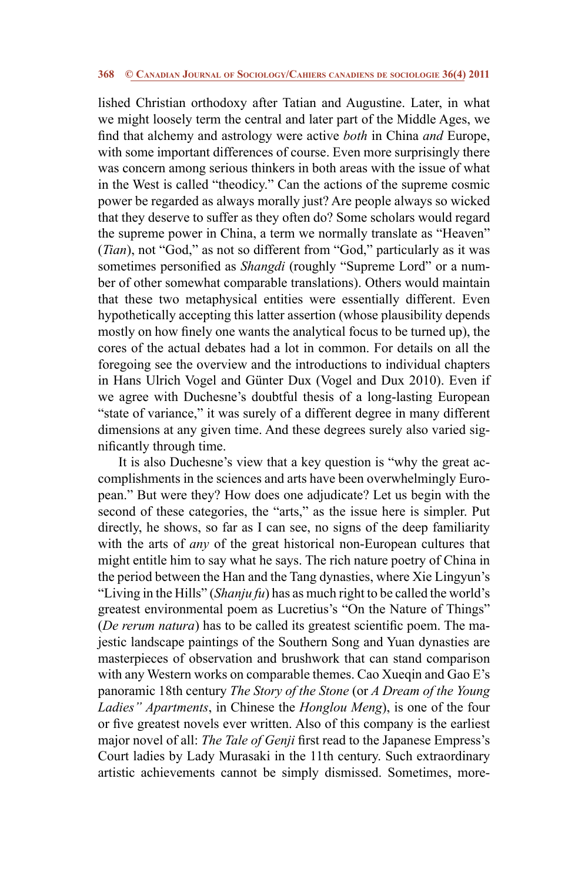lished Christian orthodoxy after Tatian and Augustine. Later, in what we might loosely term the central and later part of the Middle Ages, we find that alchemy and astrology were active *both* in China *and* Europe, with some important differences of course. Even more surprisingly there was concern among serious thinkers in both areas with the issue of what in the West is called "theodicy." Can the actions of the supreme cosmic power be regarded as always morally just? Are people always so wicked that they deserve to suffer as they often do? Some scholars would regard the supreme power in China, a term we normally translate as "Heaven" (*Tian*), not "God," as not so different from "God," particularly as it was sometimes personified as *Shangdi* (roughly "Supreme Lord" or a number of other somewhat comparable translations). Others would maintain that these two metaphysical entities were essentially different. Even hypothetically accepting this latter assertion (whose plausibility depends mostly on how finely one wants the analytical focus to be turned up), the cores of the actual debates had a lot in common. For details on all the foregoing see the overview and the introductions to individual chapters in Hans Ulrich Vogel and Günter Dux (Vogel and Dux 2010). Even if we agree with Duchesne's doubtful thesis of a long-lasting European "state of variance," it was surely of a different degree in many different dimensions at any given time. And these degrees surely also varied significantly through time.

It is also Duchesne's view that a key question is "why the great accomplishments in the sciences and arts have been overwhelmingly European." But were they? How does one adjudicate? Let us begin with the second of these categories, the "arts," as the issue here is simpler. Put directly, he shows, so far as I can see, no signs of the deep familiarity with the arts of *any* of the great historical non-European cultures that might entitle him to say what he says. The rich nature poetry of China in the period between the Han and the Tang dynasties, where Xie Lingyun's "Living in the Hills" (*Shanju fu*) has as much right to be called the world's greatest environmental poem as Lucretius's "On the Nature of Things" (*De rerum natura*) has to be called its greatest scientific poem. The majestic landscape paintings of the Southern Song and Yuan dynasties are masterpieces of observation and brushwork that can stand comparison with any Western works on comparable themes. Cao Xueqin and Gao E's panoramic 18th century *The Story of the Stone* (or *A Dream of the Young Ladies" Apartments*, in Chinese the *Honglou Meng*), is one of the four or five greatest novels ever written. Also of this company is the earliest major novel of all: *The Tale of Genji* first read to the Japanese Empress's Court ladies by Lady Murasaki in the 11th century. Such extraordinary artistic achievements cannot be simply dismissed. Sometimes, more-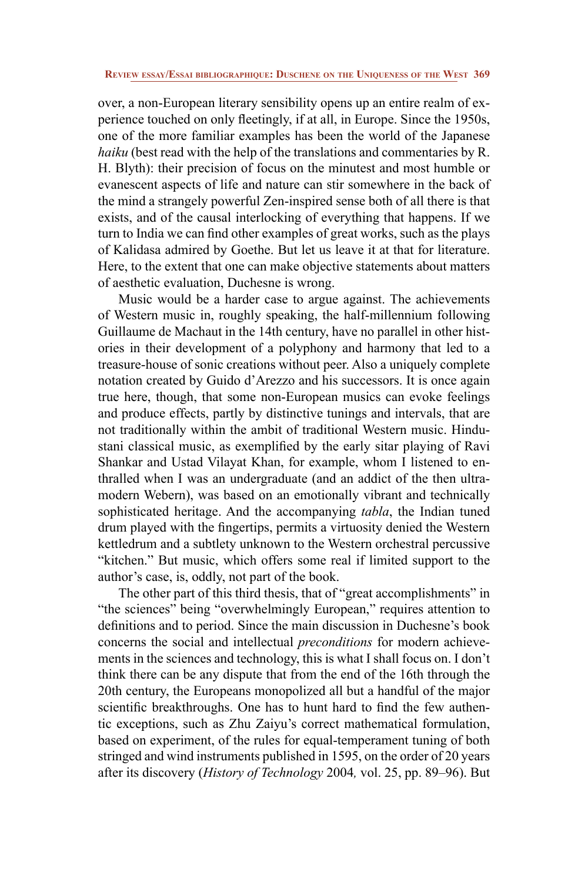over, a non-European literary sensibility opens up an entire realm of experience touched on only fleetingly, if at all, in Europe. Since the 1950s, one of the more familiar examples has been the world of the Japanese *haiku* (best read with the help of the translations and commentaries by R. H. Blyth): their precision of focus on the minutest and most humble or evanescent aspects of life and nature can stir somewhere in the back of the mind a strangely powerful Zen-inspired sense both of all there is that exists, and of the causal interlocking of everything that happens. If we turn to India we can find other examples of great works, such as the plays of Kalidasa admired by Goethe. But let us leave it at that for literature. Here, to the extent that one can make objective statements about matters of aesthetic evaluation, Duchesne is wrong.

Music would be a harder case to argue against. The achievements of Western music in, roughly speaking, the half-millennium following Guillaume de Machaut in the 14th century, have no parallel in other histories in their development of a polyphony and harmony that led to a treasure-house of sonic creations without peer. Also a uniquely complete notation created by Guido d'Arezzo and his successors. It is once again true here, though, that some non-European musics can evoke feelings and produce effects, partly by distinctive tunings and intervals, that are not traditionally within the ambit of traditional Western music. Hindustani classical music, as exemplified by the early sitar playing of Ravi Shankar and Ustad Vilayat Khan, for example, whom I listened to enthralled when I was an undergraduate (and an addict of the then ultramodern Webern), was based on an emotionally vibrant and technically sophisticated heritage. And the accompanying *tabla*, the Indian tuned drum played with the fingertips, permits a virtuosity denied the Western kettledrum and a subtlety unknown to the Western orchestral percussive "kitchen." But music, which offers some real if limited support to the author's case, is, oddly, not part of the book.

The other part of this third thesis, that of "great accomplishments" in "the sciences" being "overwhelmingly European," requires attention to definitions and to period. Since the main discussion in Duchesne's book concerns the social and intellectual *preconditions* for modern achievements in the sciences and technology, this is what I shall focus on. I don't think there can be any dispute that from the end of the 16th through the 20th century, the Europeans monopolized all but a handful of the major scientific breakthroughs. One has to hunt hard to find the few authentic exceptions, such as Zhu Zaiyu's correct mathematical formulation, based on experiment, of the rules for equal-temperament tuning of both stringed and wind instruments published in 1595, on the order of 20 years after its discovery (*History of Technology* 2004*,* vol. 25, pp. 89–96). But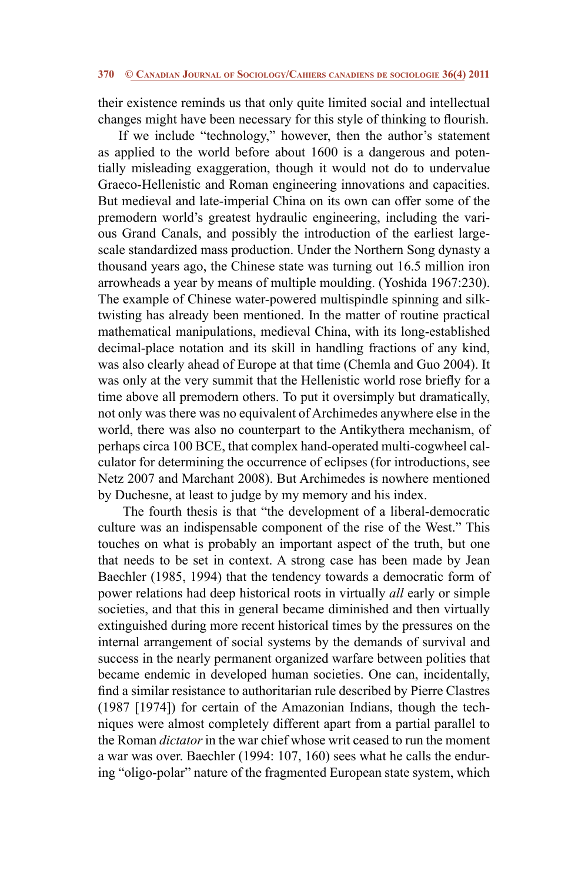their existence reminds us that only quite limited social and intellectual changes might have been necessary for this style of thinking to flourish.

If we include "technology," however, then the author's statement as applied to the world before about 1600 is a dangerous and potentially misleading exaggeration, though it would not do to undervalue Graeco-Hellenistic and Roman engineering innovations and capacities. But medieval and late-imperial China on its own can offer some of the premodern world's greatest hydraulic engineering, including the various Grand Canals, and possibly the introduction of the earliest largescale standardized mass production. Under the Northern Song dynasty a thousand years ago, the Chinese state was turning out 16.5 million iron arrowheads a year by means of multiple moulding. (Yoshida 1967:230). The example of Chinese water-powered multispindle spinning and silktwisting has already been mentioned. In the matter of routine practical mathematical manipulations, medieval China, with its long-established decimal-place notation and its skill in handling fractions of any kind, was also clearly ahead of Europe at that time (Chemla and Guo 2004). It was only at the very summit that the Hellenistic world rose briefly for a time above all premodern others. To put it oversimply but dramatically, not only was there was no equivalent of Archimedes anywhere else in the world, there was also no counterpart to the Antikythera mechanism, of perhaps circa 100 BCE, that complex hand-operated multi-cogwheel calculator for determining the occurrence of eclipses (for introductions, see Netz 2007 and Marchant 2008). But Archimedes is nowhere mentioned by Duchesne, at least to judge by my memory and his index.

 The fourth thesis is that "the development of a liberal-democratic culture was an indispensable component of the rise of the West." This touches on what is probably an important aspect of the truth, but one that needs to be set in context. A strong case has been made by Jean Baechler (1985, 1994) that the tendency towards a democratic form of power relations had deep historical roots in virtually *all* early or simple societies, and that this in general became diminished and then virtually extinguished during more recent historical times by the pressures on the internal arrangement of social systems by the demands of survival and success in the nearly permanent organized warfare between polities that became endemic in developed human societies. One can, incidentally, find a similar resistance to authoritarian rule described by Pierre Clastres (1987 [1974]) for certain of the Amazonian Indians, though the techniques were almost completely different apart from a partial parallel to the Roman *dictator* in the war chief whose writ ceased to run the moment a war was over. Baechler (1994: 107, 160) sees what he calls the enduring "oligo-polar" nature of the fragmented European state system, which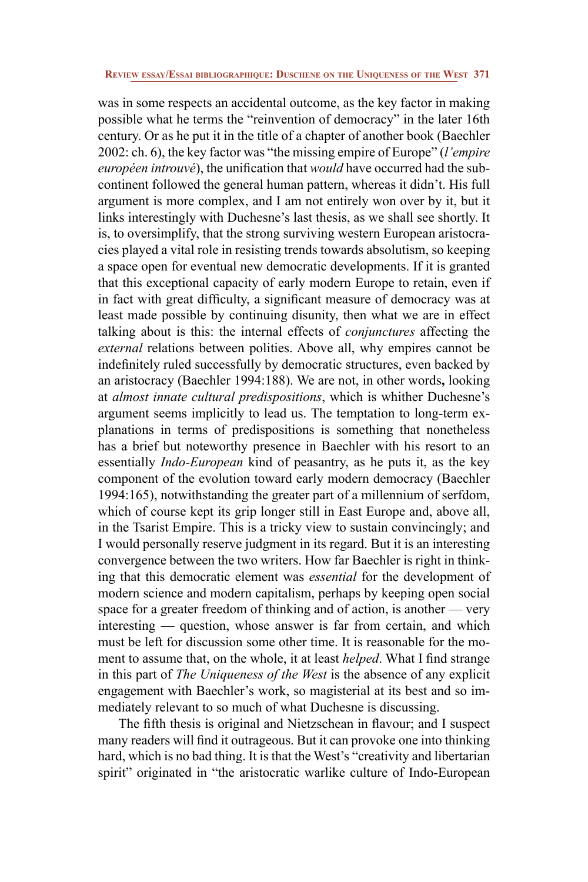was in some respects an accidental outcome, as the key factor in making possible what he terms the "reinvention of democracy" in the later 16th century. Or as he put it in the title of a chapter of another book (Baechler 2002: ch. 6), the key factor was "the missing empire of Europe" (*l'empire européen introuvé*), the unification that *would* have occurred had the subcontinent followed the general human pattern, whereas it didn't. His full argument is more complex, and I am not entirely won over by it, but it links interestingly with Duchesne's last thesis, as we shall see shortly. It is, to oversimplify, that the strong surviving western European aristocracies played a vital role in resisting trends towards absolutism, so keeping a space open for eventual new democratic developments. If it is granted that this exceptional capacity of early modern Europe to retain, even if in fact with great difficulty, a significant measure of democracy was at least made possible by continuing disunity, then what we are in effect talking about is this: the internal effects of *conjunctures* affecting the *external* relations between polities. Above all, why empires cannot be indefinitely ruled successfully by democratic structures, even backed by an aristocracy (Baechler 1994:188). We are not, in other words**,** looking at *almost innate cultural predispositions*, which is whither Duchesne's argument seems implicitly to lead us. The temptation to long-term explanations in terms of predispositions is something that nonetheless has a brief but noteworthy presence in Baechler with his resort to an essentially *Indo-European* kind of peasantry, as he puts it, as the key component of the evolution toward early modern democracy (Baechler 1994:165), notwithstanding the greater part of a millennium of serfdom, which of course kept its grip longer still in East Europe and, above all, in the Tsarist Empire. This is a tricky view to sustain convincingly; and I would personally reserve judgment in its regard. But it is an interesting convergence between the two writers. How far Baechler is right in thinking that this democratic element was *essential* for the development of modern science and modern capitalism, perhaps by keeping open social space for a greater freedom of thinking and of action, is another — very interesting — question, whose answer is far from certain, and which must be left for discussion some other time. It is reasonable for the moment to assume that, on the whole, it at least *helped*. What I find strange in this part of *The Uniqueness of the West* is the absence of any explicit engagement with Baechler's work, so magisterial at its best and so immediately relevant to so much of what Duchesne is discussing.

The fifth thesis is original and Nietzschean in flavour; and I suspect many readers will find it outrageous. But it can provoke one into thinking hard, which is no bad thing. It is that the West's "creativity and libertarian spirit" originated in "the aristocratic warlike culture of Indo-European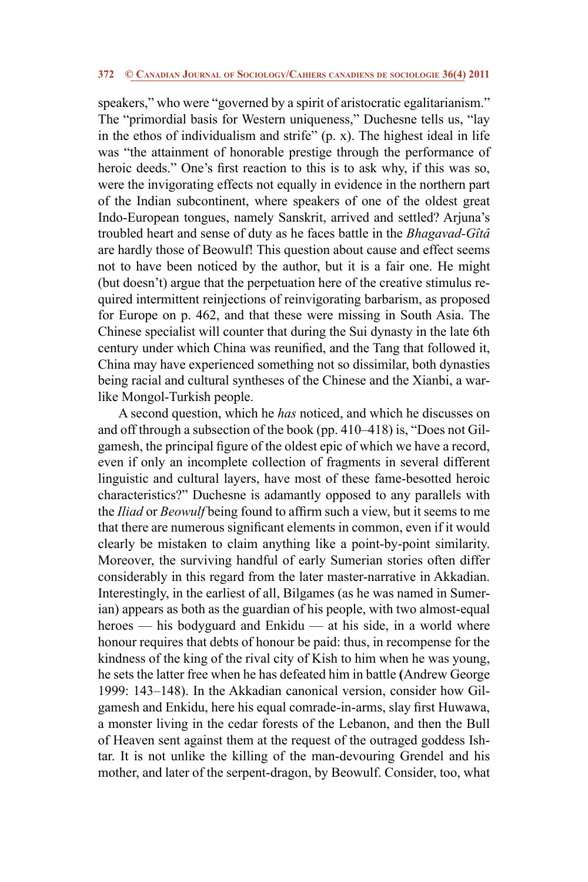speakers," who were "governed by a spirit of aristocratic egalitarianism." The "primordial basis for Western uniqueness," Duchesne tells us, "lay in the ethos of individualism and strife" (p. x). The highest ideal in life was "the attainment of honorable prestige through the performance of heroic deeds." One's first reaction to this is to ask why, if this was so, were the invigorating effects not equally in evidence in the northern part of the Indian subcontinent, where speakers of one of the oldest great Indo-European tongues, namely Sanskrit, arrived and settled? Arjuna's troubled heart and sense of duty as he faces battle in the *Bhagavad-Gîtâ* are hardly those of Beowulf! This question about cause and effect seems not to have been noticed by the author, but it is a fair one. He might (but doesn't) argue that the perpetuation here of the creative stimulus required intermittent reinjections of reinvigorating barbarism, as proposed for Europe on p. 462, and that these were missing in South Asia. The Chinese specialist will counter that during the Sui dynasty in the late 6th century under which China was reunified, and the Tang that followed it, China may have experienced something not so dissimilar, both dynasties being racial and cultural syntheses of the Chinese and the Xianbi, a warlike Mongol-Turkish people.

A second question, which he *has* noticed, and which he discusses on and off through a subsection of the book (pp. 410–418) is, "Does not Gilgamesh, the principal figure of the oldest epic of which we have a record, even if only an incomplete collection of fragments in several different linguistic and cultural layers, have most of these fame-besotted heroic characteristics?" Duchesne is adamantly opposed to any parallels with the *Iliad* or *Beowulf* being found to affirm such a view, but it seems to me that there are numerous significant elements in common, even if it would clearly be mistaken to claim anything like a point-by-point similarity. Moreover, the surviving handful of early Sumerian stories often differ considerably in this regard from the later master-narrative in Akkadian. Interestingly, in the earliest of all, Bilgames (as he was named in Sumerian) appears as both as the guardian of his people, with two almost-equal heroes — his bodyguard and Enkidu — at his side, in a world where honour requires that debts of honour be paid: thus, in recompense for the kindness of the king of the rival city of Kish to him when he was young, he sets the latter free when he has defeated him in battle **(**Andrew George 1999: 143–148). In the Akkadian canonical version, consider how Gilgamesh and Enkidu, here his equal comrade-in-arms, slay first Huwawa, a monster living in the cedar forests of the Lebanon, and then the Bull of Heaven sent against them at the request of the outraged goddess Ishtar. It is not unlike the killing of the man-devouring Grendel and his mother, and later of the serpent-dragon, by Beowulf. Consider, too, what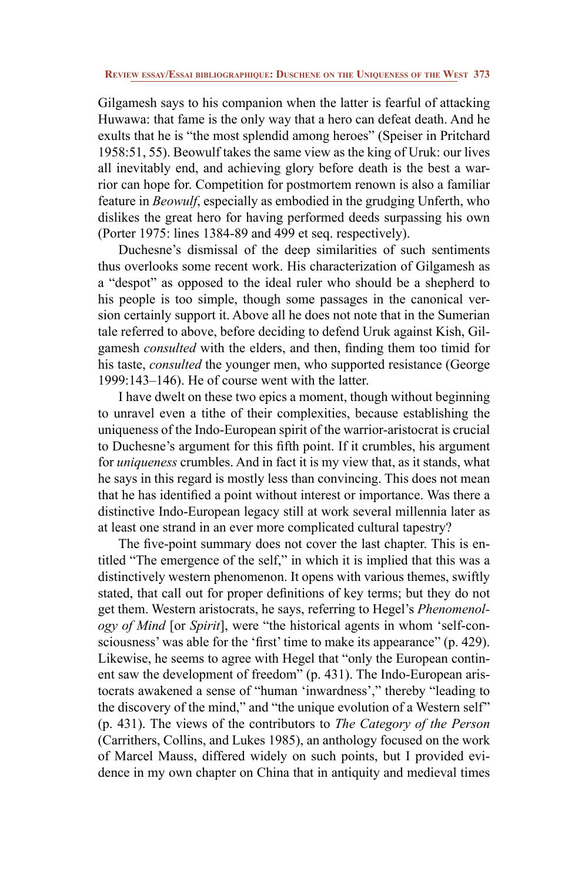Gilgamesh says to his companion when the latter is fearful of attacking Huwawa: that fame is the only way that a hero can defeat death. And he exults that he is "the most splendid among heroes" (Speiser in Pritchard 1958:51, 55). Beowulf takes the same view as the king of Uruk: our lives all inevitably end, and achieving glory before death is the best a warrior can hope for. Competition for postmortem renown is also a familiar feature in *Beowulf*, especially as embodied in the grudging Unferth, who dislikes the great hero for having performed deeds surpassing his own (Porter 1975: lines 1384-89 and 499 et seq. respectively).

Duchesne's dismissal of the deep similarities of such sentiments thus overlooks some recent work. His characterization of Gilgamesh as a "despot" as opposed to the ideal ruler who should be a shepherd to his people is too simple, though some passages in the canonical version certainly support it. Above all he does not note that in the Sumerian tale referred to above, before deciding to defend Uruk against Kish, Gilgamesh *consulted* with the elders, and then, finding them too timid for his taste, *consulted* the younger men, who supported resistance (George 1999:143–146). He of course went with the latter.

I have dwelt on these two epics a moment, though without beginning to unravel even a tithe of their complexities, because establishing the uniqueness of the Indo-European spirit of the warrior-aristocrat is crucial to Duchesne's argument for this fifth point. If it crumbles, his argument for *uniqueness* crumbles. And in fact it is my view that, as it stands, what he says in this regard is mostly less than convincing. This does not mean that he has identified a point without interest or importance. Was there a distinctive Indo-European legacy still at work several millennia later as at least one strand in an ever more complicated cultural tapestry?

The five-point summary does not cover the last chapter. This is entitled "The emergence of the self," in which it is implied that this was a distinctively western phenomenon. It opens with various themes, swiftly stated, that call out for proper definitions of key terms; but they do not get them. Western aristocrats, he says, referring to Hegel's *Phenomenology of Mind* [or *Spirit*], were "the historical agents in whom 'self-consciousness' was able for the 'first' time to make its appearance" (p. 429). Likewise, he seems to agree with Hegel that "only the European continent saw the development of freedom" (p. 431). The Indo-European aristocrats awakened a sense of "human 'inwardness'," thereby "leading to the discovery of the mind," and "the unique evolution of a Western self" (p. 431). The views of the contributors to *The Category of the Person* (Carrithers, Collins, and Lukes 1985), an anthology focused on the work of Marcel Mauss, differed widely on such points, but I provided evidence in my own chapter on China that in antiquity and medieval times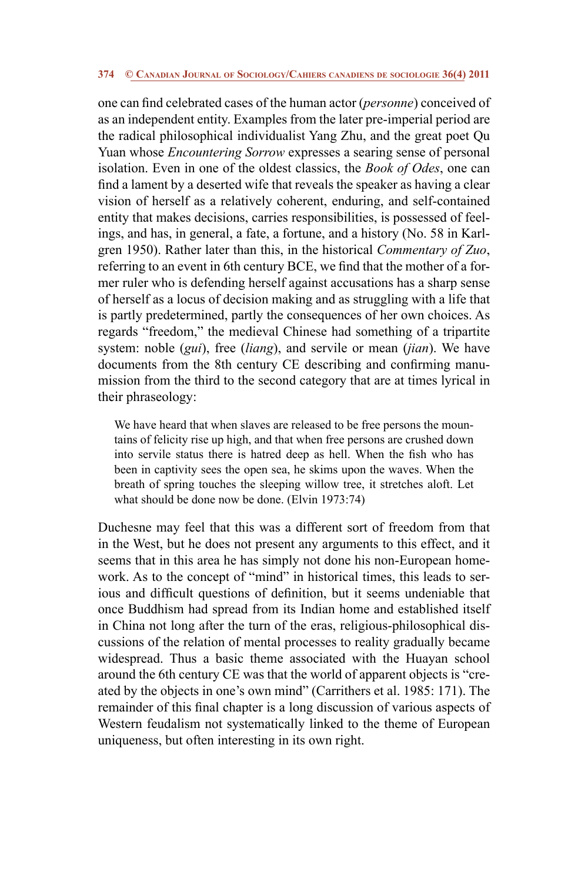one can find celebrated cases of the human actor (*personne*) conceived of as an independent entity. Examples from the later pre-imperial period are the radical philosophical individualist Yang Zhu, and the great poet Qu Yuan whose *Encountering Sorrow* expresses a searing sense of personal isolation. Even in one of the oldest classics, the *Book of Odes*, one can find a lament by a deserted wife that reveals the speaker as having a clear vision of herself as a relatively coherent, enduring, and self-contained entity that makes decisions, carries responsibilities, is possessed of feelings, and has, in general, a fate, a fortune, and a history (No. 58 in Karlgren 1950). Rather later than this, in the historical *Commentary of Zuo*, referring to an event in 6th century BCE, we find that the mother of a former ruler who is defending herself against accusations has a sharp sense of herself as a locus of decision making and as struggling with a life that is partly predetermined, partly the consequences of her own choices. As regards "freedom," the medieval Chinese had something of a tripartite system: noble (*gui*), free (*liang*), and servile or mean (*jian*). We have documents from the 8th century CE describing and confirming manumission from the third to the second category that are at times lyrical in their phraseology:

We have heard that when slaves are released to be free persons the mountains of felicity rise up high, and that when free persons are crushed down into servile status there is hatred deep as hell. When the fish who has been in captivity sees the open sea, he skims upon the waves. When the breath of spring touches the sleeping willow tree, it stretches aloft. Let what should be done now be done. (Elvin 1973:74)

Duchesne may feel that this was a different sort of freedom from that in the West, but he does not present any arguments to this effect, and it seems that in this area he has simply not done his non-European homework. As to the concept of "mind" in historical times, this leads to serious and difficult questions of definition, but it seems undeniable that once Buddhism had spread from its Indian home and established itself in China not long after the turn of the eras, religious-philosophical discussions of the relation of mental processes to reality gradually became widespread. Thus a basic theme associated with the Huayan school around the 6th century CE was that the world of apparent objects is "created by the objects in one's own mind" (Carrithers et al. 1985: 171). The remainder of this final chapter is a long discussion of various aspects of Western feudalism not systematically linked to the theme of European uniqueness, but often interesting in its own right.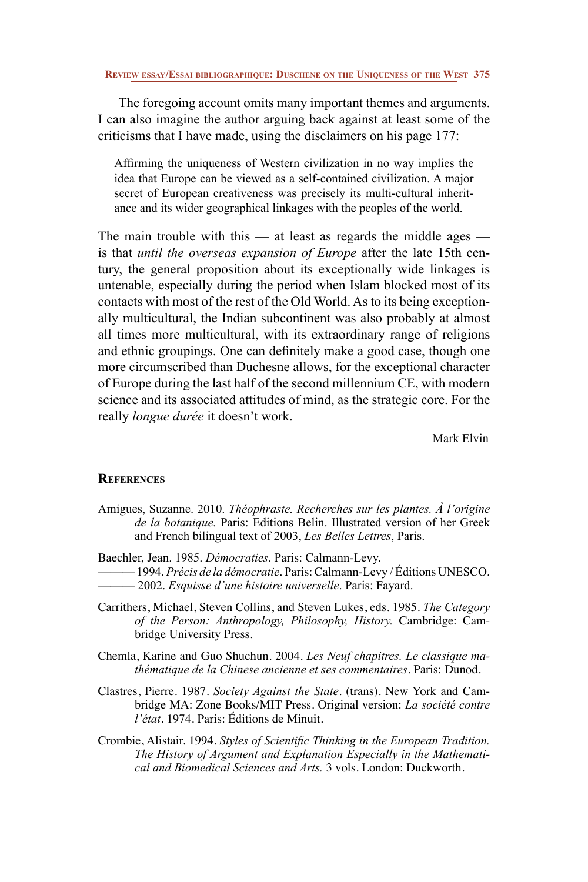The foregoing account omits many important themes and arguments. I can also imagine the author arguing back against at least some of the criticisms that I have made, using the disclaimers on his page 177:

Affirming the uniqueness of Western civilization in no way implies the idea that Europe can be viewed as a self-contained civilization. A major secret of European creativeness was precisely its multi-cultural inheritance and its wider geographical linkages with the peoples of the world.

The main trouble with this  $-$  at least as regards the middle ages  $$ is that *until the overseas expansion of Europe* after the late 15th century, the general proposition about its exceptionally wide linkages is untenable, especially during the period when Islam blocked most of its contacts with most of the rest of the Old World. As to its being exceptionally multicultural, the Indian subcontinent was also probably at almost all times more multicultural, with its extraordinary range of religions and ethnic groupings. One can definitely make a good case, though one more circumscribed than Duchesne allows, for the exceptional character of Europe during the last half of the second millennium CE, with modern science and its associated attitudes of mind, as the strategic core. For the really *longue durée* it doesn't work.

Mark Elvin

## **References**

- Amigues, Suzanne. 2010. *Théophraste. Recherches sur les plantes. À l'origine de la botanique.* Paris: Editions Belin. Illustrated version of her Greek and French bilingual text of 2003, *Les Belles Lettres*, Paris.
- Baechler, Jean. 1985. *Démocraties*. Paris: Calmann-Levy.
	- ——— 1994. *Précis de la démocratie*. Paris: Calmann-Levy / Éditions UNESCO. ——— 2002. *Esquisse d'une histoire universelle*. Paris: Fayard.
- Carrithers, Michael, Steven Collins, and Steven Lukes, eds. 1985. *The Category of the Person: Anthropology, Philosophy, History.* Cambridge: Cambridge University Press.
- Chemla, Karine and Guo Shuchun. 2004. *Les Neuf chapitres. Le classique mathématique de la Chinese ancienne et ses commentaires*. Paris: Dunod.
- Clastres, Pierre. 1987. *Society Against the State*. (trans). New York and Cambridge MA: Zone Books/MIT Press. Original version: *La société contre l'état*. 1974. Paris: Éditions de Minuit.
- Crombie, Alistair. 1994. *Styles of Scientific Thinking in the European Tradition. The History of Argument and Explanation Especially in the Mathematical and Biomedical Sciences and Arts.* 3 vols. London: Duckworth.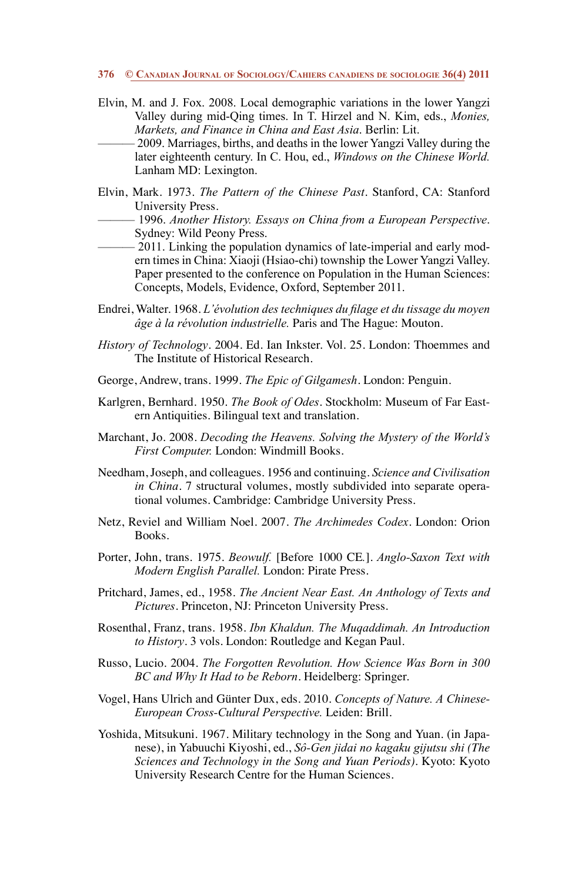- Elvin, M. and J. Fox. 2008. Local demographic variations in the lower Yangzi Valley during mid-Qing times. In T. Hirzel and N. Kim, eds., *Monies, Markets, and Finance in China and East Asia*. Berlin: Lit.
	- -2009. Marriages, births, and deaths in the lower Yangzi Valley during the later eighteenth century. In C. Hou, ed., *Windows on the Chinese World.* Lanham MD: Lexington.
- Elvin, Mark. 1973. *The Pattern of the Chinese Past*. Stanford, CA: Stanford University Press.
- ——— 1996. *Another History. Essays on China from a European Perspective*. Sydney: Wild Peony Press.
	- 2011. Linking the population dynamics of late-imperial and early modern times in China: Xiaoji (Hsiao-chi) township the Lower Yangzi Valley. Paper presented to the conference on Population in the Human Sciences: Concepts, Models, Evidence, Oxford, September 2011.
- Endrei, Walter. 1968. *L'évolution des techniques du filage et du tissage du moyen âge à la révolution industrielle.* Paris and The Hague: Mouton*.*
- *History of Technology*. 2004. Ed. Ian Inkster. Vol. 25. London: Thoemmes and The Institute of Historical Research.
- George, Andrew, trans. 1999. *The Epic of Gilgamesh*. London: Penguin.
- Karlgren, Bernhard. 1950. *The Book of Odes*. Stockholm: Museum of Far Eastern Antiquities. Bilingual text and translation.
- Marchant, Jo. 2008. *Decoding the Heavens. Solving the Mystery of the World's First Computer.* London: Windmill Books.
- Needham, Joseph, and colleagues. 1956 and continuing. *Science and Civilisation in China.* 7 structural volumes, mostly subdivided into separate operational volumes. Cambridge: Cambridge University Press.
- Netz, Reviel and William Noel. 2007. *The Archimedes Codex.* London: Orion Books.
- Porter, John, trans. 1975. *Beowulf.* [Before 1000 CE*.*]. *Anglo-Saxon Text with Modern English Parallel.* London: Pirate Press.
- Pritchard, James, ed., 1958. *The Ancient Near East. An Anthology of Texts and Pictures*. Princeton, NJ: Princeton University Press.
- Rosenthal, Franz, trans. 1958. *Ibn Khaldun. The Muqaddimah. An Introduction to History*. 3 vols. London: Routledge and Kegan Paul.
- Russo, Lucio. 2004. *The Forgotten Revolution. How Science Was Born in 300 BC and Why It Had to be Reborn*. Heidelberg: Springer.
- Vogel, Hans Ulrich and Günter Dux, eds. 2010. *Concepts of Nature. A Chinese-European Cross-Cultural Perspective.* Leiden: Brill.
- Yoshida, Mitsukuni. 1967. Military technology in the Song and Yuan. (in Japanese), in Yabuuchi Kiyoshi, ed., *Sô-Gen jidai no kagaku gijutsu shi (The Sciences and Technology in the Song and Yuan Periods).* Kyoto: Kyoto University Research Centre for the Human Sciences.